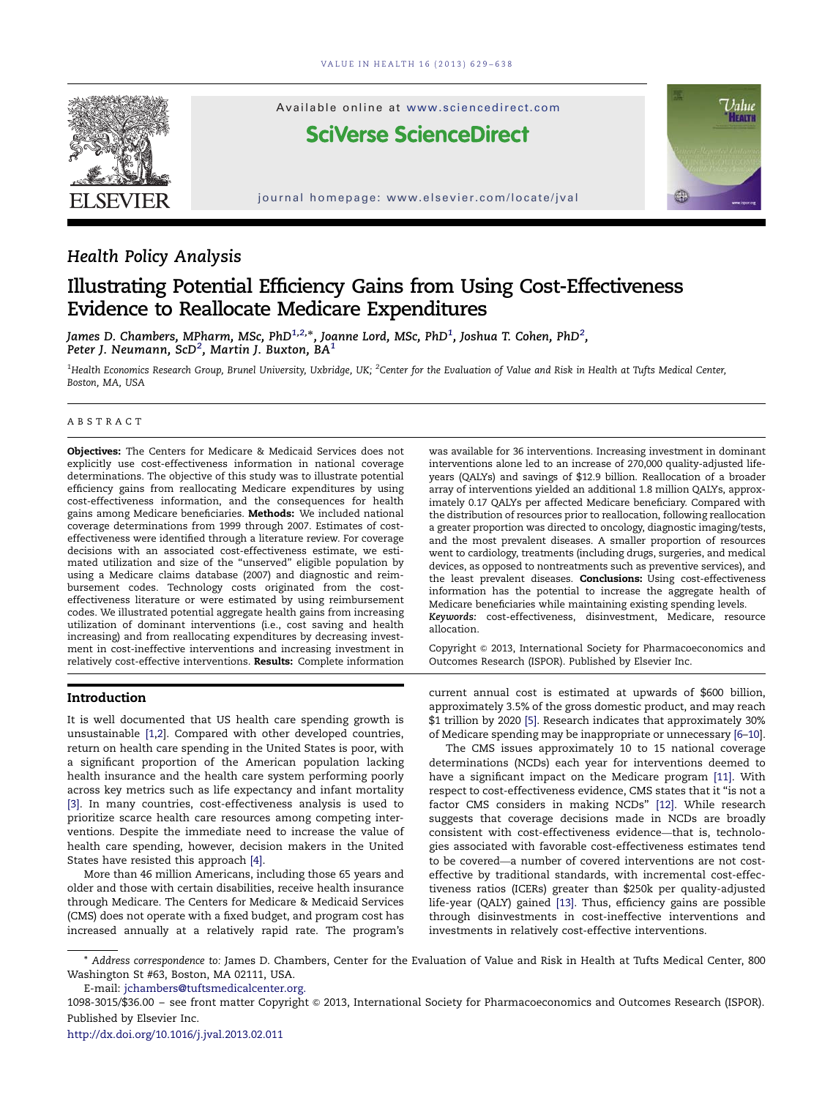

# Health Policy Analysis

# Illustrating Potential Efficiency Gains from Using Cost-Effectiveness Evidence to Reallocate Medicare Expenditures

James D. Chambers, MPharm, MSc, PhD $^{1,2,*}$ , Joanne Lord, MSc, PhD $^1$ , Joshua T. Cohen, PhD $^2$ , Peter J. Neumann, ScD $^2$ , Martin J. Buxton,  $\overline{\text{B}}\text{A}^1$ 

<sup>1</sup>Health Economics Research Group, Brunel University, Uxbridge, UK; <sup>2</sup>Center for the Evaluation of Value and Risk in Health at Tufts Medical Center, Boston, MA, USA

# ABSTRACT

Objectives: The Centers for Medicare & Medicaid Services does not explicitly use cost-effectiveness information in national coverage determinations. The objective of this study was to illustrate potential efficiency gains from reallocating Medicare expenditures by using cost-effectiveness information, and the consequences for health gains among Medicare beneficiaries. Methods: We included national coverage determinations from 1999 through 2007. Estimates of costeffectiveness were identified through a literature review. For coverage decisions with an associated cost-effectiveness estimate, we estimated utilization and size of the ''unserved'' eligible population by using a Medicare claims database (2007) and diagnostic and reimbursement codes. Technology costs originated from the costeffectiveness literature or were estimated by using reimbursement codes. We illustrated potential aggregate health gains from increasing utilization of dominant interventions (i.e., cost saving and health increasing) and from reallocating expenditures by decreasing investment in cost-ineffective interventions and increasing investment in relatively cost-effective interventions. Results: Complete information

# Introduction

It is well documented that US health care spending growth is unsustainable [1,2]. Compared with other developed countries, return on health care spending in the United States is poor, with a significant proportion of the American population lacking health insurance and the health care system performing poorly across key metrics such as life expectancy and infant mortality [3]. In many countries, cost-effectiveness analysis is used to prioritize scarce health care resources among competing interventions. Despite the immediate need to increase the value of health care spending, however, decision makers in the United States have resisted this approach [4].

More than 46 million Americans, including those 65 years and older and those with certain disabilities, receive health insurance through Medicare. The Centers for Medicare & Medicaid Services (CMS) does not operate with a fixed budget, and program cost has increased annually at a relatively rapid rate. The program's

was available for 36 interventions. Increasing investment in dominant interventions alone led to an increase of 270,000 quality-adjusted lifeyears (QALYs) and savings of \$12.9 billion. Reallocation of a broader array of interventions yielded an additional 1.8 million QALYs, approximately 0.17 QALYs per affected Medicare beneficiary. Compared with the distribution of resources prior to reallocation, following reallocation a greater proportion was directed to oncology, diagnostic imaging/tests, and the most prevalent diseases. A smaller proportion of resources went to cardiology, treatments (including drugs, surgeries, and medical devices, as opposed to nontreatments such as preventive services), and the least prevalent diseases. **Conclusions:** Using cost-effectiveness information has the potential to increase the aggregate health of Medicare beneficiaries while maintaining existing spending levels. Keywords: cost-effectiveness, disinvestment, Medicare, resource allocation.

Copyright & 2013, International Society for Pharmacoeconomics and Outcomes Research (ISPOR). Published by Elsevier Inc.

current annual cost is estimated at upwards of \$600 billion, approximately 3.5% of the gross domestic product, and may reach \$1 trillion by 2020 [5]. Research indicates that approximately 30% of Medicare spending may be inappropriate or unnecessary [6–10].

The CMS issues approximately 10 to 15 national coverage determinations (NCDs) each year for interventions deemed to have a significant impact on the Medicare program [11]. With respect to cost-effectiveness evidence, CMS states that it ''is not a factor CMS considers in making NCDs'' [12]. While research suggests that coverage decisions made in NCDs are broadly consistent with cost-effectiveness evidence—that is, technologies associated with favorable cost-effectiveness estimates tend to be covered—a number of covered interventions are not costeffective by traditional standards, with incremental cost-effectiveness ratios (ICERs) greater than \$250k per quality-adjusted life-year (QALY) gained [13]. Thus, efficiency gains are possible through disinvestments in cost-ineffective interventions and investments in relatively cost-effective interventions.

E-mail: [jchambers@tuftsmedicalcenter.org](mailto:jchambers@tuftsmedicalcenter.org).

<sup>\*</sup> Address correspondence to: James D. Chambers, Center for the Evaluation of Value and Risk in Health at Tufts Medical Center, 800 Washington St #63, Boston, MA 02111, USA.

<sup>1098-3015/\$36.00 –</sup> see front matter Copyright & 2013, International Society for Pharmacoeconomics and Outcomes Research (ISPOR). Published by Elsevier Inc.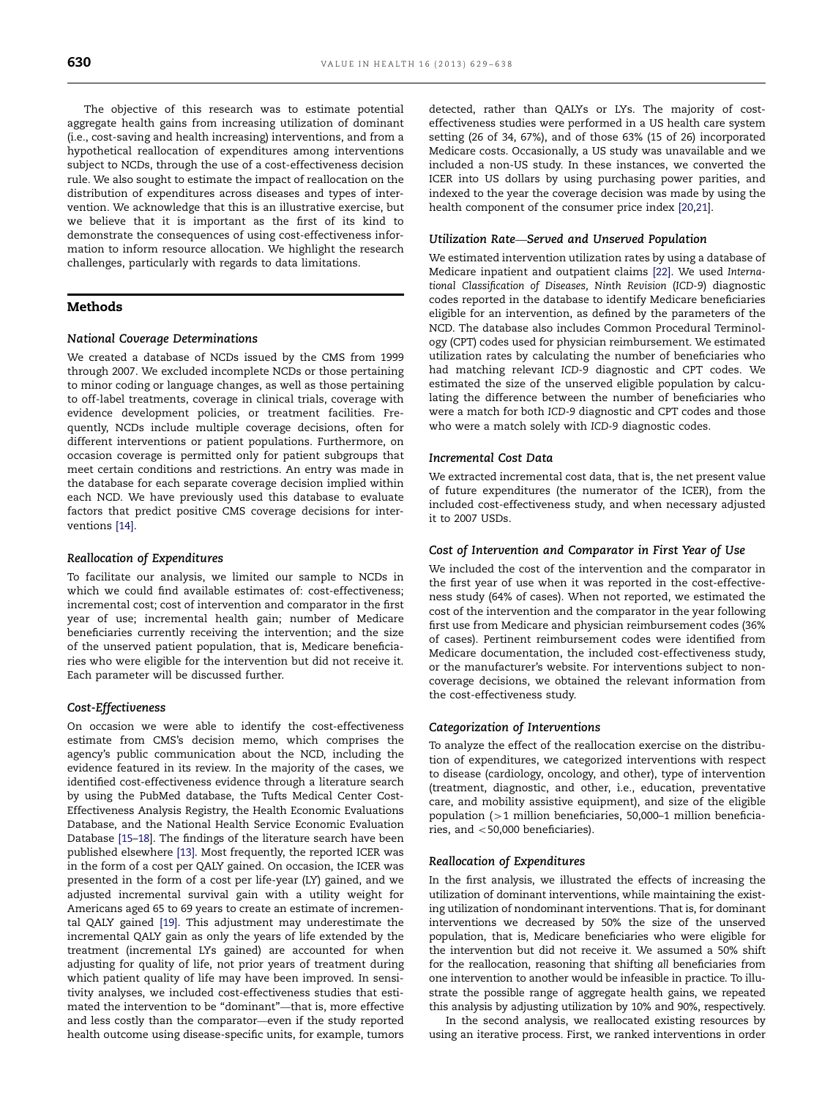The objective of this research was to estimate potential aggregate health gains from increasing utilization of dominant (i.e., cost-saving and health increasing) interventions, and from a hypothetical reallocation of expenditures among interventions subject to NCDs, through the use of a cost-effectiveness decision rule. We also sought to estimate the impact of reallocation on the distribution of expenditures across diseases and types of intervention. We acknowledge that this is an illustrative exercise, but we believe that it is important as the first of its kind to demonstrate the consequences of using cost-effectiveness information to inform resource allocation. We highlight the research challenges, particularly with regards to data limitations.

## Methods

### National Coverage Determinations

We created a database of NCDs issued by the CMS from 1999 through 2007. We excluded incomplete NCDs or those pertaining to minor coding or language changes, as well as those pertaining to off-label treatments, coverage in clinical trials, coverage with evidence development policies, or treatment facilities. Frequently, NCDs include multiple coverage decisions, often for different interventions or patient populations. Furthermore, on occasion coverage is permitted only for patient subgroups that meet certain conditions and restrictions. An entry was made in the database for each separate coverage decision implied within each NCD. We have previously used this database to evaluate factors that predict positive CMS coverage decisions for interventions [14].

### Reallocation of Expenditures

To facilitate our analysis, we limited our sample to NCDs in which we could find available estimates of: cost-effectiveness; incremental cost; cost of intervention and comparator in the first year of use; incremental health gain; number of Medicare beneficiaries currently receiving the intervention; and the size of the unserved patient population, that is, Medicare beneficiaries who were eligible for the intervention but did not receive it. Each parameter will be discussed further.

### Cost-Effectiveness

On occasion we were able to identify the cost-effectiveness estimate from CMS's decision memo, which comprises the agency's public communication about the NCD, including the evidence featured in its review. In the majority of the cases, we identified cost-effectiveness evidence through a literature search by using the PubMed database, the Tufts Medical Center Cost-Effectiveness Analysis Registry, the Health Economic Evaluations Database, and the National Health Service Economic Evaluation Database [15–18]. The findings of the literature search have been published elsewhere [13]. Most frequently, the reported ICER was in the form of a cost per QALY gained. On occasion, the ICER was presented in the form of a cost per life-year (LY) gained, and we adjusted incremental survival gain with a utility weight for Americans aged 65 to 69 years to create an estimate of incremental QALY gained [19]. This adjustment may underestimate the incremental QALY gain as only the years of life extended by the treatment (incremental LYs gained) are accounted for when adjusting for quality of life, not prior years of treatment during which patient quality of life may have been improved. In sensitivity analyses, we included cost-effectiveness studies that estimated the intervention to be ''dominant''—that is, more effective and less costly than the comparator—even if the study reported health outcome using disease-specific units, for example, tumors

detected, rather than QALYs or LYs. The majority of costeffectiveness studies were performed in a US health care system setting (26 of 34, 67%), and of those 63% (15 of 26) incorporated Medicare costs. Occasionally, a US study was unavailable and we included a non-US study. In these instances, we converted the ICER into US dollars by using purchasing power parities, and indexed to the year the coverage decision was made by using the health component of the consumer price index [20,21].

# Utilization Rate—Served and Unserved Population

We estimated intervention utilization rates by using a database of Medicare inpatient and outpatient claims [22]. We used International Classification of Diseases, Ninth Revision (ICD-9) diagnostic codes reported in the database to identify Medicare beneficiaries eligible for an intervention, as defined by the parameters of the NCD. The database also includes Common Procedural Terminology (CPT) codes used for physician reimbursement. We estimated utilization rates by calculating the number of beneficiaries who had matching relevant ICD-9 diagnostic and CPT codes. We estimated the size of the unserved eligible population by calculating the difference between the number of beneficiaries who were a match for both ICD-9 diagnostic and CPT codes and those who were a match solely with ICD-9 diagnostic codes.

# Incremental Cost Data

We extracted incremental cost data, that is, the net present value of future expenditures (the numerator of the ICER), from the included cost-effectiveness study, and when necessary adjusted it to 2007 USDs.

# Cost of Intervention and Comparator in First Year of Use

We included the cost of the intervention and the comparator in the first year of use when it was reported in the cost-effectiveness study (64% of cases). When not reported, we estimated the cost of the intervention and the comparator in the year following first use from Medicare and physician reimbursement codes (36% of cases). Pertinent reimbursement codes were identified from Medicare documentation, the included cost-effectiveness study, or the manufacturer's website. For interventions subject to noncoverage decisions, we obtained the relevant information from the cost-effectiveness study.

### Categorization of Interventions

To analyze the effect of the reallocation exercise on the distribution of expenditures, we categorized interventions with respect to disease (cardiology, oncology, and other), type of intervention (treatment, diagnostic, and other, i.e., education, preventative care, and mobility assistive equipment), and size of the eligible population  $(>1$  million beneficiaries, 50,000–1 million beneficiaries, and  $<$  50,000 beneficiaries).

### Reallocation of Expenditures

In the first analysis, we illustrated the effects of increasing the utilization of dominant interventions, while maintaining the existing utilization of nondominant interventions. That is, for dominant interventions we decreased by 50% the size of the unserved population, that is, Medicare beneficiaries who were eligible for the intervention but did not receive it. We assumed a 50% shift for the reallocation, reasoning that shifting all beneficiaries from one intervention to another would be infeasible in practice. To illustrate the possible range of aggregate health gains, we repeated this analysis by adjusting utilization by 10% and 90%, respectively.

In the second analysis, we reallocated existing resources by using an iterative process. First, we ranked interventions in order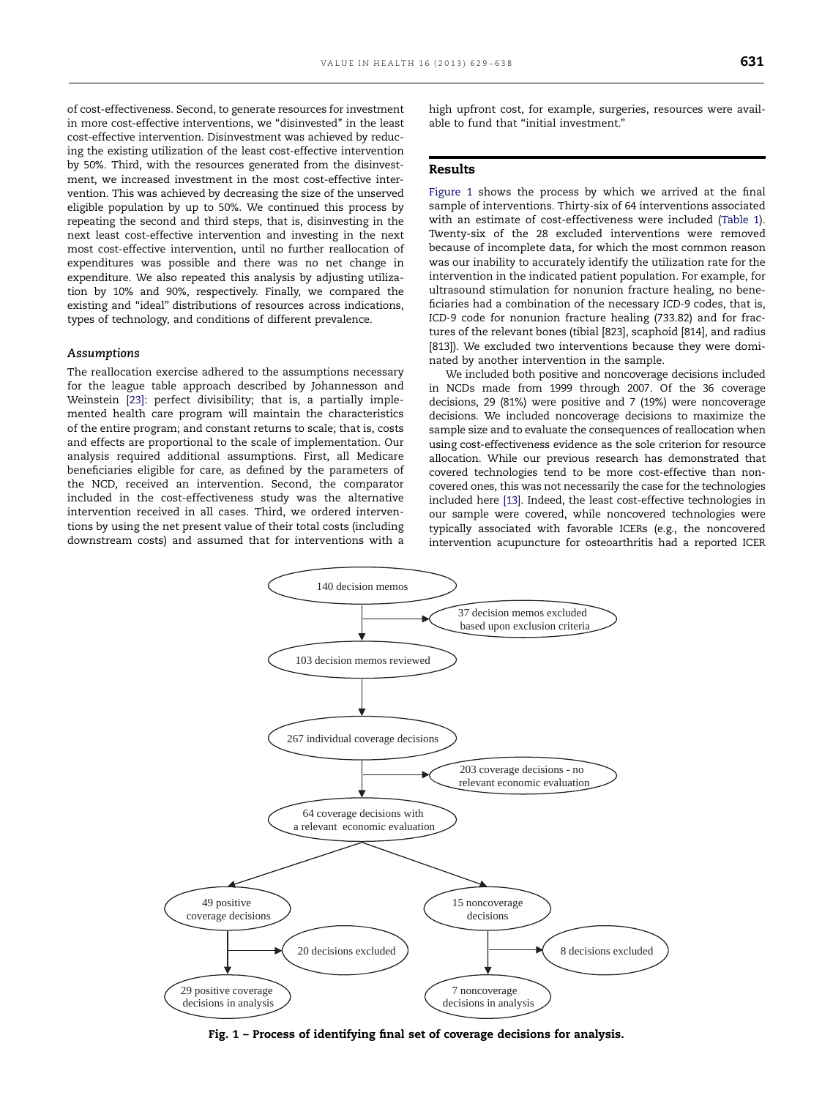of cost-effectiveness. Second, to generate resources for investment in more cost-effective interventions, we "disinvested" in the least cost-effective intervention. Disinvestment was achieved by reducing the existing utilization of the least cost-effective intervention by 50%. Third, with the resources generated from the disinvestment, we increased investment in the most cost-effective intervention. This was achieved by decreasing the size of the unserved eligible population by up to 50%. We continued this process by repeating the second and third steps, that is, disinvesting in the next least cost-effective intervention and investing in the next most cost-effective intervention, until no further reallocation of expenditures was possible and there was no net change in expenditure. We also repeated this analysis by adjusting utilization by 10% and 90%, respectively. Finally, we compared the existing and ''ideal'' distributions of resources across indications, types of technology, and conditions of different prevalence.

#### Assumptions

The reallocation exercise adhered to the assumptions necessary for the league table approach described by Johannesson and Weinstein [23]: perfect divisibility; that is, a partially implemented health care program will maintain the characteristics of the entire program; and constant returns to scale; that is, costs and effects are proportional to the scale of implementation. Our analysis required additional assumptions. First, all Medicare beneficiaries eligible for care, as defined by the parameters of the NCD, received an intervention. Second, the comparator included in the cost-effectiveness study was the alternative intervention received in all cases. Third, we ordered interventions by using the net present value of their total costs (including downstream costs) and assumed that for interventions with a high upfront cost, for example, surgeries, resources were available to fund that ''initial investment.''

## Results

Figure 1 shows the process by which we arrived at the final sample of interventions. Thirty-six of 64 interventions associated with an estimate of cost-effectiveness were included (Table 1). Twenty-six of the 28 excluded interventions were removed because of incomplete data, for which the most common reason was our inability to accurately identify the utilization rate for the intervention in the indicated patient population. For example, for ultrasound stimulation for nonunion fracture healing, no beneficiaries had a combination of the necessary ICD-9 codes, that is, ICD-9 code for nonunion fracture healing (733.82) and for fractures of the relevant bones (tibial [823], scaphoid [814], and radius [813]). We excluded two interventions because they were dominated by another intervention in the sample.

We included both positive and noncoverage decisions included in NCDs made from 1999 through 2007. Of the 36 coverage decisions, 29 (81%) were positive and 7 (19%) were noncoverage decisions. We included noncoverage decisions to maximize the sample size and to evaluate the consequences of reallocation when using cost-effectiveness evidence as the sole criterion for resource allocation. While our previous research has demonstrated that covered technologies tend to be more cost-effective than noncovered ones, this was not necessarily the case for the technologies included here [13]. Indeed, the least cost-effective technologies in our sample were covered, while noncovered technologies were typically associated with favorable ICERs (e.g., the noncovered intervention acupuncture for osteoarthritis had a reported ICER



Fig. 1 – Process of identifying final set of coverage decisions for analysis.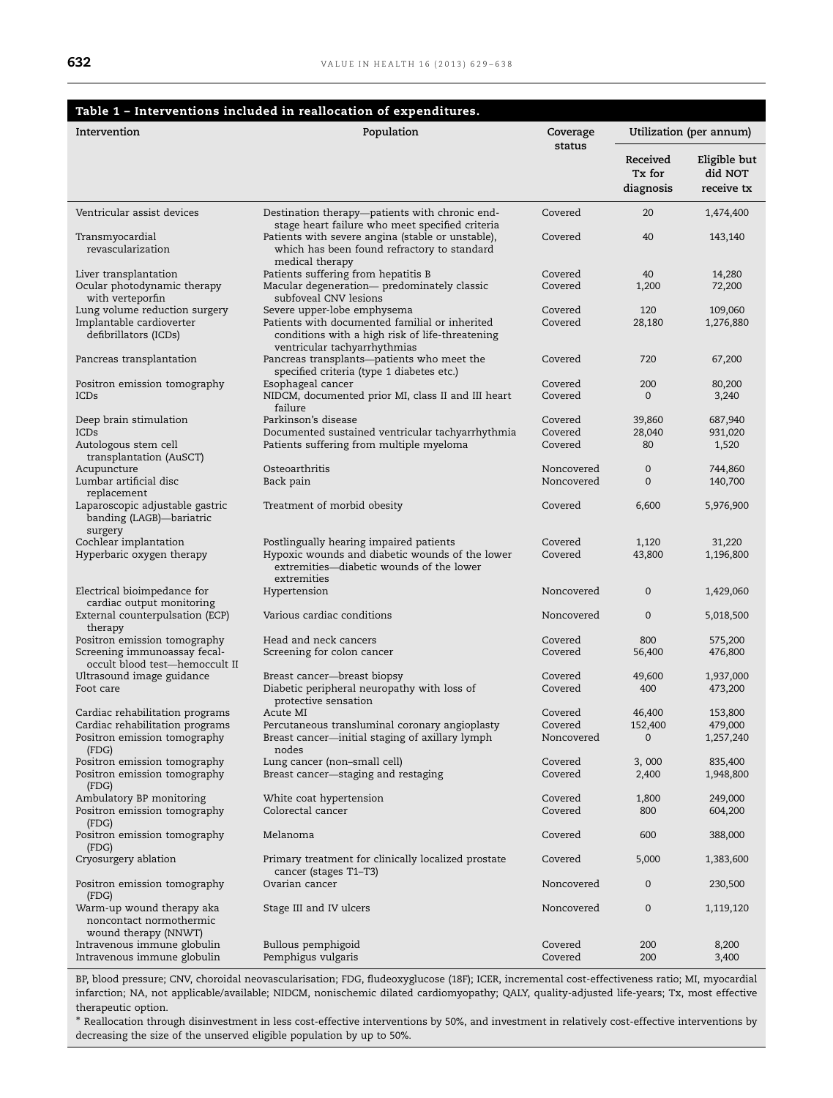| Table 1 - Interventions included in reallocation of expenditures.                  |                                                                                                                                                                  |                          |                                 |                                       |  |  |  |
|------------------------------------------------------------------------------------|------------------------------------------------------------------------------------------------------------------------------------------------------------------|--------------------------|---------------------------------|---------------------------------------|--|--|--|
| Intervention                                                                       | Population                                                                                                                                                       | Coverage<br>status       | Utilization (per annum)         |                                       |  |  |  |
|                                                                                    |                                                                                                                                                                  |                          | Received<br>Tx for<br>diagnosis | Eligible but<br>did NOT<br>receive tx |  |  |  |
| Ventricular assist devices                                                         | Destination therapy—patients with chronic end-<br>stage heart failure who meet specified criteria                                                                | Covered                  | 20                              | 1,474,400                             |  |  |  |
| Transmyocardial<br>revascularization                                               | Patients with severe angina (stable or unstable),<br>which has been found refractory to standard<br>medical therapy                                              | Covered                  | 40                              | 143,140                               |  |  |  |
| Liver transplantation<br>Ocular photodynamic therapy<br>with verteporfin           | Patients suffering from hepatitis B<br>Macular degeneration- predominately classic<br>subfoveal CNV lesions                                                      | Covered<br>Covered       | 40<br>1,200                     | 14,280<br>72,200                      |  |  |  |
| Lung volume reduction surgery<br>Implantable cardioverter<br>defibrillators (ICDs) | Severe upper-lobe emphysema<br>Patients with documented familial or inherited<br>conditions with a high risk of life-threatening<br>ventricular tachyarrhythmias | Covered<br>Covered       | 120<br>28,180                   | 109,060<br>1,276,880                  |  |  |  |
| Pancreas transplantation                                                           | Pancreas transplants—patients who meet the<br>specified criteria (type 1 diabetes etc.)                                                                          | Covered                  | 720                             | 67,200                                |  |  |  |
| Positron emission tomography                                                       | Esophageal cancer                                                                                                                                                | Covered                  | 200                             | 80,200                                |  |  |  |
| ICDs                                                                               | NIDCM, documented prior MI, class II and III heart<br>failure                                                                                                    | Covered                  | $\mathbf 0$                     | 3,240                                 |  |  |  |
| Deep brain stimulation                                                             | Parkinson's disease                                                                                                                                              | Covered                  | 39,860                          | 687,940                               |  |  |  |
| ICDs<br>Autologous stem cell<br>transplantation (AuSCT)                            | Documented sustained ventricular tachyarrhythmia<br>Patients suffering from multiple myeloma                                                                     | Covered<br>Covered       | 28,040<br>80                    | 931,020<br>1,520                      |  |  |  |
| Acupuncture<br>Lumbar artificial disc                                              | Osteoarthritis<br>Back pain                                                                                                                                      | Noncovered<br>Noncovered | $\mathbf 0$<br>$\mathbf 0$      | 744,860<br>140,700                    |  |  |  |
| replacement                                                                        |                                                                                                                                                                  |                          |                                 |                                       |  |  |  |
| Laparoscopic adjustable gastric<br>banding (LAGB)—bariatric<br>surgery             | Treatment of morbid obesity                                                                                                                                      | Covered                  | 6,600                           | 5,976,900                             |  |  |  |
| Cochlear implantation<br>Hyperbaric oxygen therapy                                 | Postlingually hearing impaired patients<br>Hypoxic wounds and diabetic wounds of the lower<br>extremities—diabetic wounds of the lower<br>extremities            | Covered<br>Covered       | 1,120<br>43,800                 | 31,220<br>1,196,800                   |  |  |  |
| Electrical bioimpedance for<br>cardiac output monitoring                           | Hypertension                                                                                                                                                     | Noncovered               | $\mathbf 0$                     | 1,429,060                             |  |  |  |
| External counterpulsation (ECP)<br>therapy                                         | Various cardiac conditions                                                                                                                                       | Noncovered               | $\mathbf{0}$                    | 5,018,500                             |  |  |  |
| Positron emission tomography                                                       | Head and neck cancers                                                                                                                                            | Covered                  | 800                             | 575,200                               |  |  |  |
| Screening immunoassay fecal-<br>occult blood test-hemoccult II                     | Screening for colon cancer                                                                                                                                       | Covered                  | 56,400                          | 476,800                               |  |  |  |
| Ultrasound image guidance<br>Foot care                                             | Breast cancer—breast biopsy<br>Diabetic peripheral neuropathy with loss of<br>protective sensation                                                               | Covered<br>Covered       | 49,600<br>400                   | 1,937,000<br>473,200                  |  |  |  |
| Cardiac rehabilitation programs                                                    | Acute MI                                                                                                                                                         | Covered                  | 46,400                          | 153,800                               |  |  |  |
| Cardiac rehabilitation programs                                                    | Percutaneous transluminal coronary angioplasty                                                                                                                   | Covered                  | 152,400                         | 479,000                               |  |  |  |
| Positron emission tomography<br>(FDG)                                              | Breast cancer-initial staging of axillary lymph<br>nodes                                                                                                         | Noncovered               | $\mathsf{O}\xspace$             | 1,257,240                             |  |  |  |
| Positron emission tomography<br>Positron emission tomography<br>(FDG)              | Lung cancer (non-small cell)<br>Breast cancer—staging and restaging                                                                                              | Covered<br>Covered       | 3,000<br>2,400                  | 835,400<br>1,948,800                  |  |  |  |
| Ambulatory BP monitoring                                                           | White coat hypertension                                                                                                                                          | Covered                  | 1,800                           | 249,000                               |  |  |  |
| Positron emission tomography<br>(FDG)                                              | Colorectal cancer                                                                                                                                                | Covered                  | 800                             | 604,200                               |  |  |  |
| Positron emission tomography<br>(FDG)                                              | Melanoma                                                                                                                                                         | Covered                  | 600                             | 388,000                               |  |  |  |
| Cryosurgery ablation                                                               | Primary treatment for clinically localized prostate<br>cancer (stages T1–T3)                                                                                     | Covered                  | 5,000                           | 1,383,600                             |  |  |  |
| Positron emission tomography<br>(FDG)                                              | Ovarian cancer                                                                                                                                                   | Noncovered               | $\boldsymbol{0}$                | 230,500                               |  |  |  |
| Warm-up wound therapy aka<br>noncontact normothermic<br>wound therapy (NNWT)       | Stage III and IV ulcers                                                                                                                                          | Noncovered               | $\boldsymbol{0}$                | 1,119,120                             |  |  |  |
| Intravenous immune globulin<br>Intravenous immune globulin                         | Bullous pemphigoid<br>Pemphigus vulgaris                                                                                                                         | Covered<br>Covered       | 200<br>200                      | 8,200<br>3,400                        |  |  |  |

BP, blood pressure; CNV, choroidal neovascularisation; FDG, fludeoxyglucose (18F); ICER, incremental cost-effectiveness ratio; MI, myocardial infarction; NA, not applicable/available; NIDCM, nonischemic dilated cardiomyopathy; QALY, quality-adjusted life-years; Tx, most effective therapeutic option.

- Reallocation through disinvestment in less cost-effective interventions by 50%, and investment in relatively cost-effective interventions by decreasing the size of the unserved eligible population by up to 50%.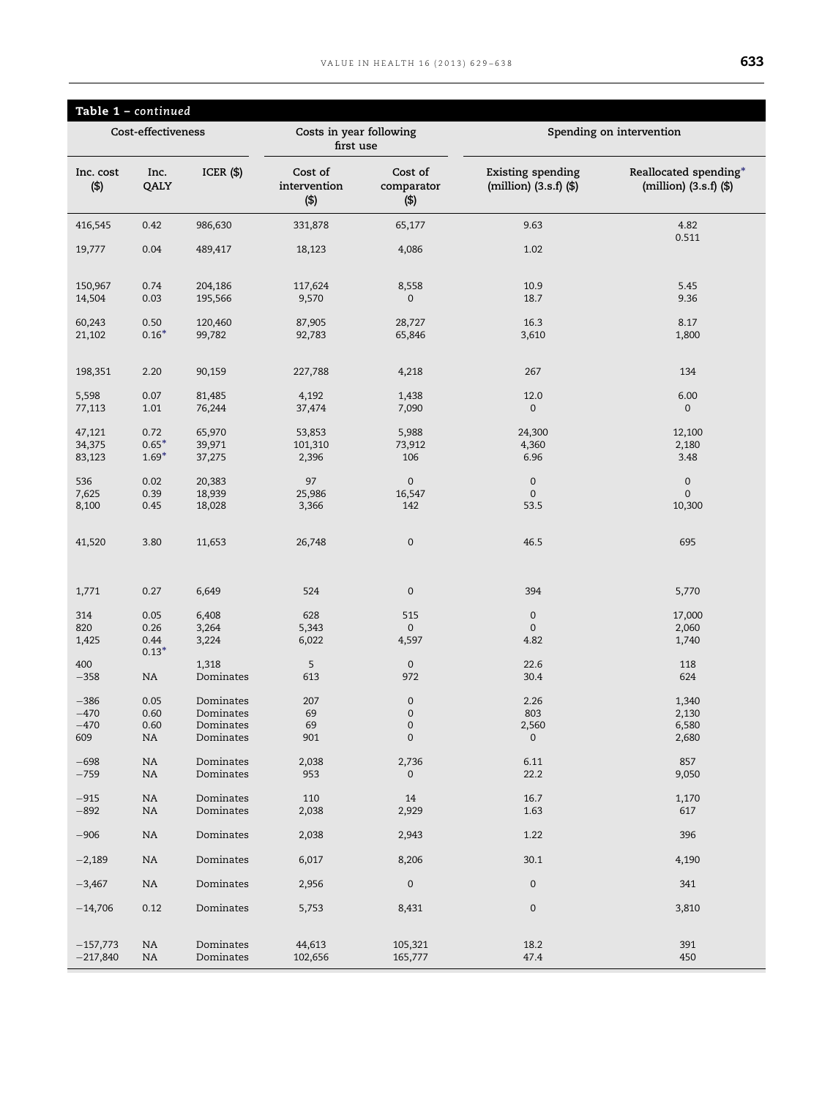| Table 1 - continued               |                                 |                                                  |                                   |                                                                |                                                 |                                                     |  |
|-----------------------------------|---------------------------------|--------------------------------------------------|-----------------------------------|----------------------------------------------------------------|-------------------------------------------------|-----------------------------------------------------|--|
| Cost-effectiveness                |                                 | Costs in year following<br>first use             |                                   | Spending on intervention                                       |                                                 |                                                     |  |
| Inc. cost<br>( \$ )               | Inc.<br>QALY                    | ICER $($ \$)                                     | Cost of<br>intervention<br>( \$ ) | Cost of<br>comparator<br>( \$ )                                | Existing spending<br>(million) $(3.s.f)$ $(\$)$ | Reallocated spending*<br>$(million)$ (3.s.f) $(\$)$ |  |
| 416,545                           | 0.42                            | 986,630                                          | 331,878                           | 65,177                                                         | 9.63                                            | 4.82<br>0.511                                       |  |
| 19,777                            | 0.04                            | 489,417                                          | 18,123                            | 4,086                                                          | 1.02                                            |                                                     |  |
| 150,967<br>14,504                 | 0.74<br>0.03                    | 204,186<br>195,566                               | 117,624<br>9,570                  | 8,558<br>$\mathbf 0$                                           | 10.9<br>18.7                                    | 5.45<br>9.36                                        |  |
| 60,243<br>21,102                  | 0.50<br>$0.16*$                 | 120,460<br>99,782                                | 87,905<br>92,783                  | 28,727<br>65,846                                               | 16.3<br>3,610                                   | 8.17<br>1,800                                       |  |
| 198,351                           | 2.20                            | 90,159                                           | 227,788                           | 4,218                                                          | 267                                             | 134                                                 |  |
| 5,598<br>77,113                   | 0.07<br>1.01                    | 81,485<br>76,244                                 | 4,192<br>37,474                   | 1,438<br>7,090                                                 | 12.0<br>$\mathbf 0$                             | 6.00<br>0                                           |  |
| 47,121<br>34,375<br>83,123        | 0.72<br>$0.65*$<br>$1.69*$      | 65,970<br>39,971<br>37,275                       | 53,853<br>101,310<br>2,396        | 5,988<br>73,912<br>106                                         | 24,300<br>4,360<br>6.96                         | 12,100<br>2,180<br>3.48                             |  |
| 536<br>7,625<br>8,100             | 0.02<br>0.39<br>0.45            | 20,383<br>18,939<br>18,028                       | 97<br>25,986<br>3,366             | $\mathsf{O}\xspace$<br>16,547<br>142                           | $\pmb{0}$<br>$\mathbf 0$<br>53.5                | 0<br>$\overline{0}$<br>10,300                       |  |
| 41,520                            | 3.80                            | 11,653                                           | 26,748                            | $\pmb{0}$                                                      | 46.5                                            | 695                                                 |  |
| 1,771                             | 0.27                            | 6,649                                            | 524                               | $\pmb{0}$                                                      | 394                                             | 5,770                                               |  |
| 314<br>820<br>1,425               | 0.05<br>0.26<br>0.44<br>$0.13*$ | 6,408<br>3,264<br>3,224                          | 628<br>5,343<br>6,022             | 515<br>$\mathbf 0$<br>4,597                                    | $\pmb{0}$<br>$\mathbf{0}$<br>4.82               | 17,000<br>2,060<br>1,740                            |  |
| 400<br>$-358$                     | NA                              | 1,318<br>Dominates                               | 5<br>613                          | $\mathbf 0$<br>972                                             | 22.6<br>30.4                                    | 118<br>624                                          |  |
| $-386$<br>$-470$<br>$-470$<br>609 | 0.05<br>0.60<br>0.60<br>NA      | Dominates<br>Dominates<br>Dominates<br>Dominates | 207<br>69<br>69<br>901            | $\pmb{0}$<br>$\mathsf{O}\xspace$<br>$\mathbf 0$<br>$\mathbf 0$ | 2.26<br>803<br>2,560<br>$\mathbf 0$             | 1,340<br>2,130<br>6,580<br>2,680                    |  |
| $-698$<br>$-759$                  | NA<br>NA                        | Dominates<br>Dominates                           | 2,038<br>953                      | 2,736<br>$\mathbf{0}$                                          | 6.11<br>22.2                                    | 857<br>9,050                                        |  |
| $-915$<br>$-892$                  | NA<br>$_{\rm NA}$               | Dominates<br>Dominates                           | 110<br>2,038                      | 14<br>2,929                                                    | 16.7<br>1.63                                    | 1,170<br>617                                        |  |
| $-906$                            | $_{\rm NA}$                     | Dominates                                        | 2,038                             | 2,943                                                          | 1.22                                            | 396                                                 |  |
| $-2,189$                          | $_{\rm NA}$                     | Dominates                                        | 6,017                             | 8,206                                                          | 30.1                                            | 4,190                                               |  |
| $-3,467$                          | $_{\rm NA}$                     | Dominates                                        | 2,956                             | $\pmb{0}$                                                      | $\pmb{0}$                                       | 341                                                 |  |
| $-14,706$                         | 0.12                            | Dominates                                        | 5,753                             | 8,431                                                          | $\pmb{0}$                                       | 3,810                                               |  |
| $-157,773$<br>$-217,840$          | NA<br>$_{\rm NA}$               | Dominates<br>Dominates                           | 44,613<br>102,656                 | 105,321<br>165,777                                             | 18.2<br>47.4                                    | 391<br>450                                          |  |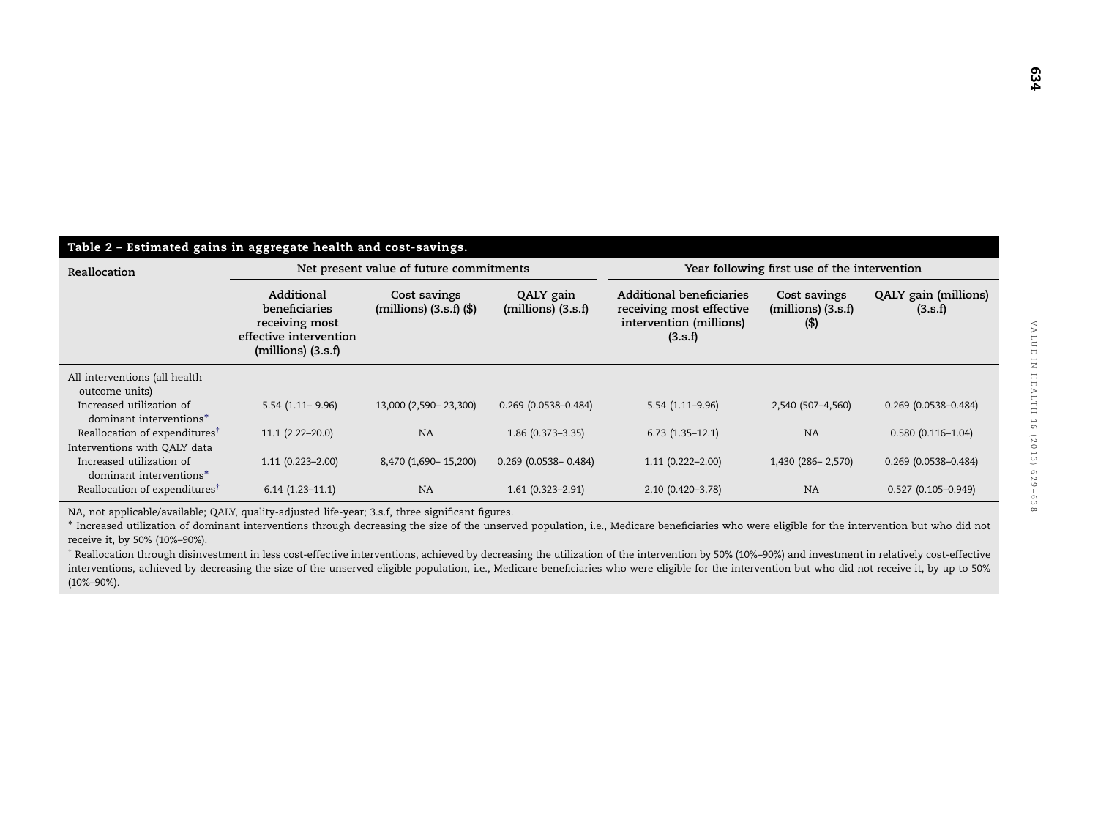| Table 2 – Estimated gains in aggregate health and cost-savings. |                                                                                                   |                                               |                                     |                                                                                            |                                                   |                                 |  |
|-----------------------------------------------------------------|---------------------------------------------------------------------------------------------------|-----------------------------------------------|-------------------------------------|--------------------------------------------------------------------------------------------|---------------------------------------------------|---------------------------------|--|
| Reallocation                                                    | Net present value of future commitments                                                           |                                               |                                     | Year following first use of the intervention                                               |                                                   |                                 |  |
|                                                                 | Additional<br>beneficiaries<br>receiving most<br>effective intervention<br>$(millions)$ $(3.s.f)$ | Cost savings<br>$(millions)$ $(3.s.f)$ $(\$)$ | QALY gain<br>$(millions)$ $(3.s.f)$ | Additional beneficiaries<br>receiving most effective<br>intervention (millions)<br>(3.s.f) | Cost savings<br>$(millions)$ $(3.s.f)$<br>$(\$\)$ | QALY gain (millions)<br>(3.s.f) |  |
| All interventions (all health<br>outcome units)                 |                                                                                                   |                                               |                                     |                                                                                            |                                                   |                                 |  |
| Increased utilization of<br>dominant interventions*             | $5.54$ (1.11 - 9.96)                                                                              | 13,000 (2,590 - 23,300)                       | $0.269(0.0538 - 0.484)$             | $5.54(1.11-9.96)$                                                                          | 2,540 (507-4,560)                                 | $0.269(0.0538 - 0.484)$         |  |
| Reallocation of expenditures <sup>†</sup>                       | $11.1 (2.22 - 20.0)$                                                                              | <b>NA</b>                                     | $1.86(0.373 - 3.35)$                | $6.73(1.35-12.1)$                                                                          | <b>NA</b>                                         | $0.580(0.116 - 1.04)$           |  |
| Interventions with QALY data                                    |                                                                                                   |                                               |                                     |                                                                                            |                                                   |                                 |  |
| Increased utilization of<br>dominant interventions*             | $1.11(0.223 - 2.00)$                                                                              | 8,470 (1,690 - 15,200)                        | $0.269$ (0.0538 - 0.484)            | $1.11(0.222 - 2.00)$                                                                       | 1,430 (286 - 2,570)                               | $0.269(0.0538 - 0.484)$         |  |
| Reallocation of expenditures <sup>†</sup>                       | $6.14(1.23 - 11.1)$                                                                               | <b>NA</b>                                     | $1.61(0.323 - 2.91)$                | 2.10 (0.420-3.78)                                                                          | NA                                                | $0.527$ (0.105-0.949)           |  |

NA, not applicable/available; QALY, quality-adjusted life-year; 3.s.f, three significant figures.

- Increased utilization of dominant interventions through decreasing the size of the unserved population, i.e., Medicare beneficiaries who were eligible for the intervention but who did not receive it, by 50% (10%–90%).

 $^{\dagger}$  Reallocation through disinvestment in less cost-effective interventions, achieved by decreasing the utilization of the intervention by 50% (10%–90%) and investment in relatively cost-effective interventions, achieved by decreasing the size of the unserved eligible population, i.e., Medicare beneficiaries who were eligible for the intervention but who did not receive it, by up to 50% (10%–90%).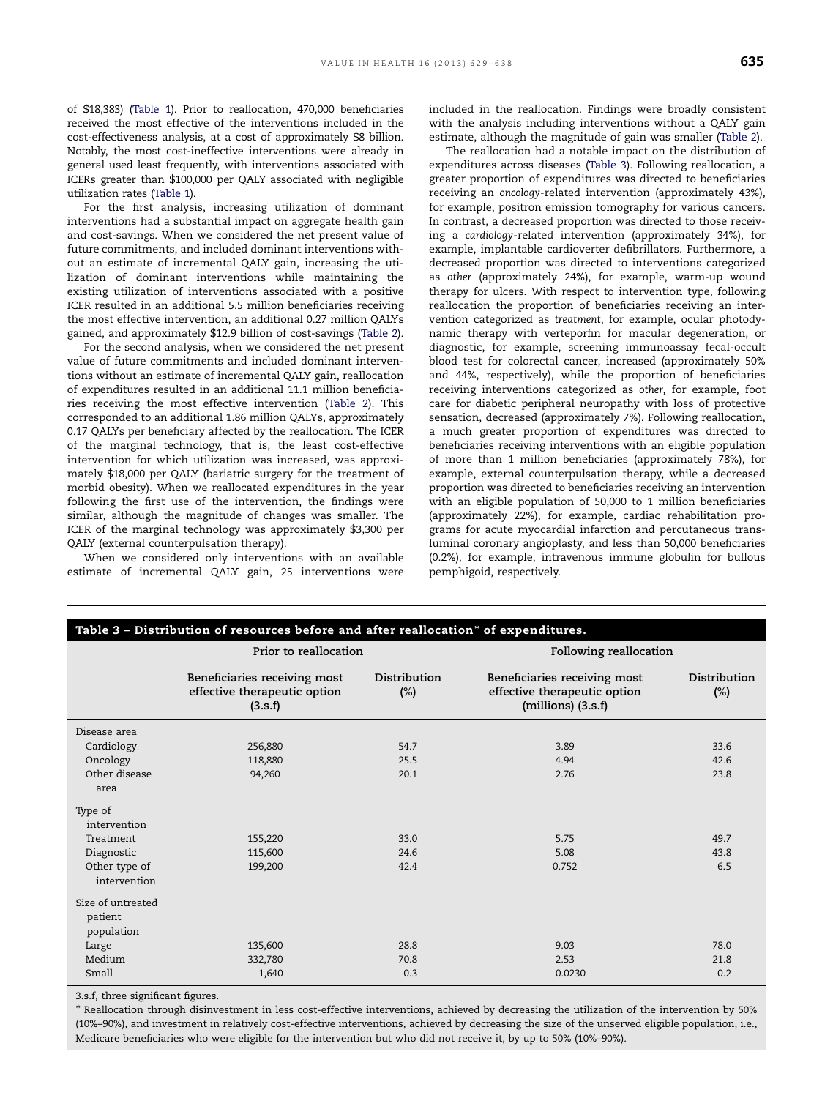of \$18,383) (Table 1). Prior to reallocation, 470,000 beneficiaries received the most effective of the interventions included in the cost-effectiveness analysis, at a cost of approximately \$8 billion. Notably, the most cost-ineffective interventions were already in general used least frequently, with interventions associated with ICERs greater than \$100,000 per QALY associated with negligible

utilization rates (Table 1). For the first analysis, increasing utilization of dominant interventions had a substantial impact on aggregate health gain and cost-savings. When we considered the net present value of future commitments, and included dominant interventions without an estimate of incremental QALY gain, increasing the utilization of dominant interventions while maintaining the existing utilization of interventions associated with a positive ICER resulted in an additional 5.5 million beneficiaries receiving the most effective intervention, an additional 0.27 million QALYs gained, and approximately \$12.9 billion of cost-savings (Table 2).

For the second analysis, when we considered the net present value of future commitments and included dominant interventions without an estimate of incremental QALY gain, reallocation of expenditures resulted in an additional 11.1 million beneficiaries receiving the most effective intervention (Table 2). This corresponded to an additional 1.86 million QALYs, approximately 0.17 QALYs per beneficiary affected by the reallocation. The ICER of the marginal technology, that is, the least cost-effective intervention for which utilization was increased, was approximately \$18,000 per QALY (bariatric surgery for the treatment of morbid obesity). When we reallocated expenditures in the year following the first use of the intervention, the findings were similar, although the magnitude of changes was smaller. The ICER of the marginal technology was approximately \$3,300 per QALY (external counterpulsation therapy).

When we considered only interventions with an available estimate of incremental QALY gain, 25 interventions were

included in the reallocation. Findings were broadly consistent with the analysis including interventions without a QALY gain estimate, although the magnitude of gain was smaller (Table 2).

The reallocation had a notable impact on the distribution of expenditures across diseases (Table 3). Following reallocation, a greater proportion of expenditures was directed to beneficiaries receiving an oncology-related intervention (approximately 43%), for example, positron emission tomography for various cancers. In contrast, a decreased proportion was directed to those receiving a cardiology-related intervention (approximately 34%), for example, implantable cardioverter defibrillators. Furthermore, a decreased proportion was directed to interventions categorized as other (approximately 24%), for example, warm-up wound therapy for ulcers. With respect to intervention type, following reallocation the proportion of beneficiaries receiving an intervention categorized as treatment, for example, ocular photodynamic therapy with verteporfin for macular degeneration, or diagnostic, for example, screening immunoassay fecal-occult blood test for colorectal cancer, increased (approximately 50% and 44%, respectively), while the proportion of beneficiaries receiving interventions categorized as other, for example, foot care for diabetic peripheral neuropathy with loss of protective sensation, decreased (approximately 7%). Following reallocation, a much greater proportion of expenditures was directed to beneficiaries receiving interventions with an eligible population of more than 1 million beneficiaries (approximately 78%), for example, external counterpulsation therapy, while a decreased proportion was directed to beneficiaries receiving an intervention with an eligible population of 50,000 to 1 million beneficiaries (approximately 22%), for example, cardiac rehabilitation programs for acute myocardial infarction and percutaneous transluminal coronary angioplasty, and less than 50,000 beneficiaries (0.2%), for example, intravenous immune globulin for bullous pemphigoid, respectively.

| Table 3 - Distribution of resources before and after reallocation* of expenditures. |                                                                         |                        |                                                                                        |                        |  |  |  |
|-------------------------------------------------------------------------------------|-------------------------------------------------------------------------|------------------------|----------------------------------------------------------------------------------------|------------------------|--|--|--|
|                                                                                     | Prior to reallocation                                                   |                        | Following reallocation                                                                 |                        |  |  |  |
|                                                                                     | Beneficiaries receiving most<br>effective therapeutic option<br>(3.s.f) | Distribution<br>$(\%)$ | Beneficiaries receiving most<br>effective therapeutic option<br>$(millions)$ $(3.s.f)$ | Distribution<br>$(\%)$ |  |  |  |
| Disease area                                                                        |                                                                         |                        |                                                                                        |                        |  |  |  |
| Cardiology                                                                          | 256,880                                                                 | 54.7                   | 3.89                                                                                   | 33.6                   |  |  |  |
| Oncology                                                                            | 118,880                                                                 | 25.5                   | 4.94                                                                                   | 42.6                   |  |  |  |
| Other disease                                                                       | 94,260                                                                  | 20.1                   | 2.76                                                                                   | 23.8                   |  |  |  |
| area                                                                                |                                                                         |                        |                                                                                        |                        |  |  |  |
| Type of                                                                             |                                                                         |                        |                                                                                        |                        |  |  |  |
| intervention                                                                        |                                                                         |                        |                                                                                        |                        |  |  |  |
| Treatment                                                                           | 155,220                                                                 | 33.0                   | 5.75                                                                                   | 49.7                   |  |  |  |
| Diagnostic                                                                          | 115,600                                                                 | 24.6                   | 5.08                                                                                   | 43.8                   |  |  |  |
| Other type of                                                                       | 199,200                                                                 | 42.4                   | 0.752                                                                                  | 6.5                    |  |  |  |
| intervention                                                                        |                                                                         |                        |                                                                                        |                        |  |  |  |
| Size of untreated                                                                   |                                                                         |                        |                                                                                        |                        |  |  |  |
| patient                                                                             |                                                                         |                        |                                                                                        |                        |  |  |  |
| population                                                                          |                                                                         |                        |                                                                                        |                        |  |  |  |
| Large                                                                               | 135,600                                                                 | 28.8                   | 9.03                                                                                   | 78.0                   |  |  |  |
| Medium                                                                              | 332,780                                                                 | 70.8                   | 2.53                                                                                   | 21.8                   |  |  |  |
| Small                                                                               | 1,640                                                                   | 0.3                    | 0.0230                                                                                 | 0.2                    |  |  |  |

3.s.f, three significant figures.

- Reallocation through disinvestment in less cost-effective interventions, achieved by decreasing the utilization of the intervention by 50% (10%–90%), and investment in relatively cost-effective interventions, achieved by decreasing the size of the unserved eligible population, i.e., Medicare beneficiaries who were eligible for the intervention but who did not receive it, by up to 50% (10%–90%).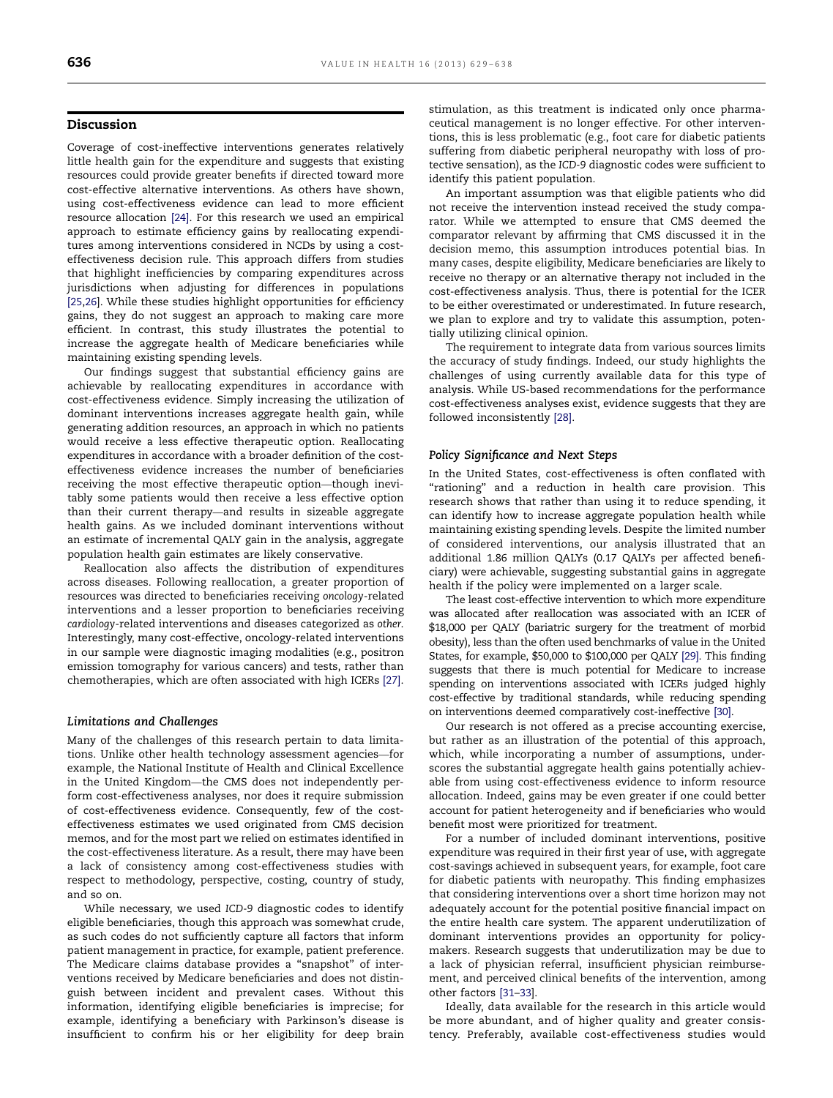# Discussion

Coverage of cost-ineffective interventions generates relatively little health gain for the expenditure and suggests that existing resources could provide greater benefits if directed toward more cost-effective alternative interventions. As others have shown, using cost-effectiveness evidence can lead to more efficient resource allocation [24]. For this research we used an empirical approach to estimate efficiency gains by reallocating expenditures among interventions considered in NCDs by using a costeffectiveness decision rule. This approach differs from studies that highlight inefficiencies by comparing expenditures across jurisdictions when adjusting for differences in populations [25,26]. While these studies highlight opportunities for efficiency gains, they do not suggest an approach to making care more efficient. In contrast, this study illustrates the potential to increase the aggregate health of Medicare beneficiaries while maintaining existing spending levels.

Our findings suggest that substantial efficiency gains are achievable by reallocating expenditures in accordance with cost-effectiveness evidence. Simply increasing the utilization of dominant interventions increases aggregate health gain, while generating addition resources, an approach in which no patients would receive a less effective therapeutic option. Reallocating expenditures in accordance with a broader definition of the costeffectiveness evidence increases the number of beneficiaries receiving the most effective therapeutic option—though inevitably some patients would then receive a less effective option than their current therapy—and results in sizeable aggregate health gains. As we included dominant interventions without an estimate of incremental QALY gain in the analysis, aggregate population health gain estimates are likely conservative.

Reallocation also affects the distribution of expenditures across diseases. Following reallocation, a greater proportion of resources was directed to beneficiaries receiving oncology-related interventions and a lesser proportion to beneficiaries receiving cardiology-related interventions and diseases categorized as other. Interestingly, many cost-effective, oncology-related interventions in our sample were diagnostic imaging modalities (e.g., positron emission tomography for various cancers) and tests, rather than chemotherapies, which are often associated with high ICERs [27].

### Limitations and Challenges

Many of the challenges of this research pertain to data limitations. Unlike other health technology assessment agencies—for example, the National Institute of Health and Clinical Excellence in the United Kingdom—the CMS does not independently perform cost-effectiveness analyses, nor does it require submission of cost-effectiveness evidence. Consequently, few of the costeffectiveness estimates we used originated from CMS decision memos, and for the most part we relied on estimates identified in the cost-effectiveness literature. As a result, there may have been a lack of consistency among cost-effectiveness studies with respect to methodology, perspective, costing, country of study, and so on.

While necessary, we used ICD-9 diagnostic codes to identify eligible beneficiaries, though this approach was somewhat crude, as such codes do not sufficiently capture all factors that inform patient management in practice, for example, patient preference. The Medicare claims database provides a "snapshot" of interventions received by Medicare beneficiaries and does not distinguish between incident and prevalent cases. Without this information, identifying eligible beneficiaries is imprecise; for example, identifying a beneficiary with Parkinson's disease is insufficient to confirm his or her eligibility for deep brain

stimulation, as this treatment is indicated only once pharmaceutical management is no longer effective. For other interventions, this is less problematic (e.g., foot care for diabetic patients suffering from diabetic peripheral neuropathy with loss of protective sensation), as the ICD-9 diagnostic codes were sufficient to identify this patient population.

An important assumption was that eligible patients who did not receive the intervention instead received the study comparator. While we attempted to ensure that CMS deemed the comparator relevant by affirming that CMS discussed it in the decision memo, this assumption introduces potential bias. In many cases, despite eligibility, Medicare beneficiaries are likely to receive no therapy or an alternative therapy not included in the cost-effectiveness analysis. Thus, there is potential for the ICER to be either overestimated or underestimated. In future research, we plan to explore and try to validate this assumption, potentially utilizing clinical opinion.

The requirement to integrate data from various sources limits the accuracy of study findings. Indeed, our study highlights the challenges of using currently available data for this type of analysis. While US-based recommendations for the performance cost-effectiveness analyses exist, evidence suggests that they are followed inconsistently [28].

### Policy Significance and Next Steps

In the United States, cost-effectiveness is often conflated with "rationing" and a reduction in health care provision. This research shows that rather than using it to reduce spending, it can identify how to increase aggregate population health while maintaining existing spending levels. Despite the limited number of considered interventions, our analysis illustrated that an additional 1.86 million QALYs (0.17 QALYs per affected beneficiary) were achievable, suggesting substantial gains in aggregate health if the policy were implemented on a larger scale.

The least cost-effective intervention to which more expenditure was allocated after reallocation was associated with an ICER of \$18,000 per QALY (bariatric surgery for the treatment of morbid obesity), less than the often used benchmarks of value in the United States, for example, \$50,000 to \$100,000 per QALY [29]. This finding suggests that there is much potential for Medicare to increase spending on interventions associated with ICERs judged highly cost-effective by traditional standards, while reducing spending on interventions deemed comparatively cost-ineffective [30].

Our research is not offered as a precise accounting exercise, but rather as an illustration of the potential of this approach, which, while incorporating a number of assumptions, underscores the substantial aggregate health gains potentially achievable from using cost-effectiveness evidence to inform resource allocation. Indeed, gains may be even greater if one could better account for patient heterogeneity and if beneficiaries who would benefit most were prioritized for treatment.

For a number of included dominant interventions, positive expenditure was required in their first year of use, with aggregate cost-savings achieved in subsequent years, for example, foot care for diabetic patients with neuropathy. This finding emphasizes that considering interventions over a short time horizon may not adequately account for the potential positive financial impact on the entire health care system. The apparent underutilization of dominant interventions provides an opportunity for policymakers. Research suggests that underutilization may be due to a lack of physician referral, insufficient physician reimbursement, and perceived clinical benefits of the intervention, among other factors [31–33].

Ideally, data available for the research in this article would be more abundant, and of higher quality and greater consistency. Preferably, available cost-effectiveness studies would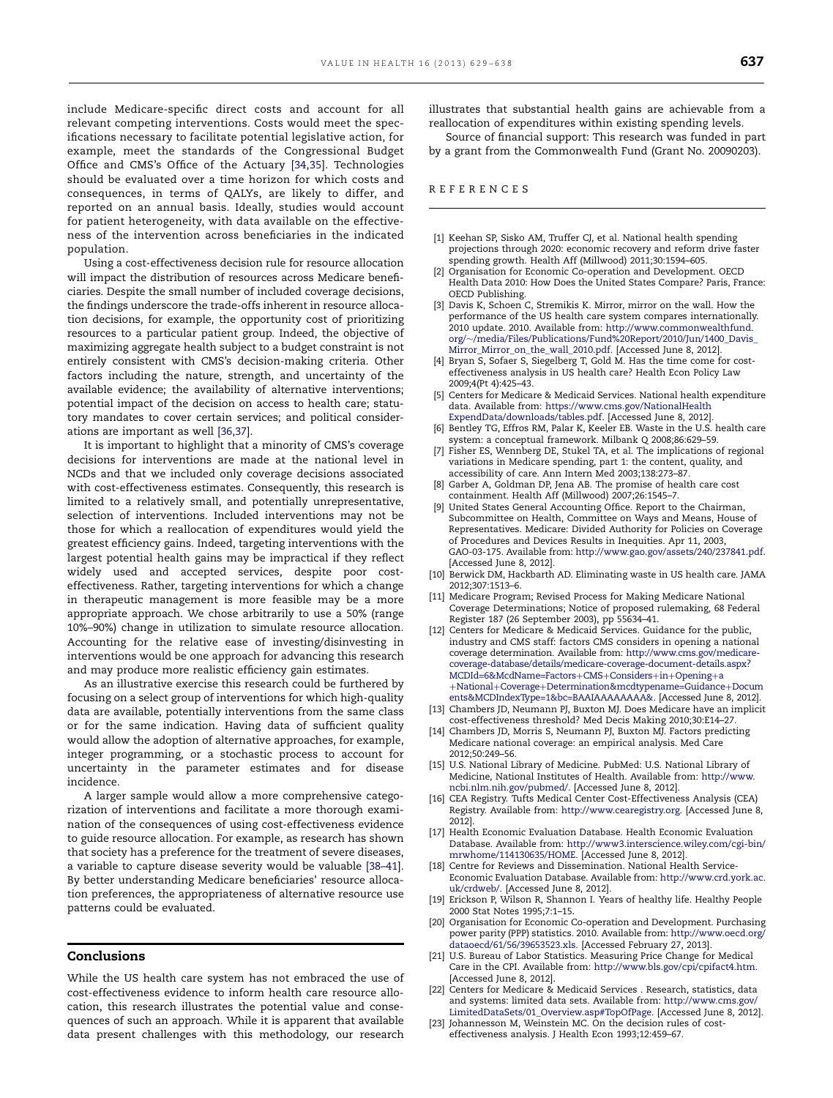include Medicare-specific direct costs and account for all relevant competing interventions. Costs would meet the specifications necessary to facilitate potential legislative action, for example, meet the standards of the Congressional Budget Office and CMS's Office of the Actuary [34,35]. Technologies should be evaluated over a time horizon for which costs and consequences, in terms of QALYs, are likely to differ, and reported on an annual basis. Ideally, studies would account for patient heterogeneity, with data available on the effectiveness of the intervention across beneficiaries in the indicated population.

Using a cost-effectiveness decision rule for resource allocation will impact the distribution of resources across Medicare beneficiaries. Despite the small number of included coverage decisions, the findings underscore the trade-offs inherent in resource allocation decisions, for example, the opportunity cost of prioritizing resources to a particular patient group. Indeed, the objective of maximizing aggregate health subject to a budget constraint is not entirely consistent with CMS's decision-making criteria. Other factors including the nature, strength, and uncertainty of the available evidence; the availability of alternative interventions; potential impact of the decision on access to health care; statutory mandates to cover certain services; and political considerations are important as well [36,37].

It is important to highlight that a minority of CMS's coverage decisions for interventions are made at the national level in NCDs and that we included only coverage decisions associated with cost-effectiveness estimates. Consequently, this research is limited to a relatively small, and potentially unrepresentative, selection of interventions. Included interventions may not be those for which a reallocation of expenditures would yield the greatest efficiency gains. Indeed, targeting interventions with the largest potential health gains may be impractical if they reflect widely used and accepted services, despite poor costeffectiveness. Rather, targeting interventions for which a change in therapeutic management is more feasible may be a more appropriate approach. We chose arbitrarily to use a 50% (range 10%–90%) change in utilization to simulate resource allocation. Accounting for the relative ease of investing/disinvesting in interventions would be one approach for advancing this research and may produce more realistic efficiency gain estimates.

As an illustrative exercise this research could be furthered by focusing on a select group of interventions for which high-quality data are available, potentially interventions from the same class or for the same indication. Having data of sufficient quality would allow the adoption of alternative approaches, for example, integer programming, or a stochastic process to account for uncertainty in the parameter estimates and for disease incidence.

A larger sample would allow a more comprehensive categorization of interventions and facilitate a more thorough examination of the consequences of using cost-effectiveness evidence to guide resource allocation. For example, as research has shown that society has a preference for the treatment of severe diseases, a variable to capture disease severity would be valuable [38–41]. By better understanding Medicare beneficiaries' resource allocation preferences, the appropriateness of alternative resource use patterns could be evaluated.

# Conclusions

While the US health care system has not embraced the use of cost-effectiveness evidence to inform health care resource allocation, this research illustrates the potential value and consequences of such an approach. While it is apparent that available data present challenges with this methodology, our research

illustrates that substantial health gains are achievable from a reallocation of expenditures within existing spending levels.

Source of financial support: This research was funded in part by a grant from the Commonwealth Fund (Grant No. 20090203).

#### REFERENCES

- [1] Keehan SP, Sisko AM, Truffer CJ, et al. National health spending projections through 2020: economic recovery and reform drive faster spending growth. Health Aff (Millwood) 2011;30:1594–605.
- [2] Organisation for Economic Co-operation and Development. OECD Health Data 2010: How Does the United States Compare? Paris, France: OECD Publishing.
- [3] Davis K, Schoen C, Stremikis K. Mirror, mirror on the wall. How the performance of the US health care system compares internationally. 2010 update. 2010. Available from: [http://www.commonwealthfund.](http://www.commonwealthfund.org/~/media/Files/Publications/Fund%20Report/2010/Jun/1400_Davis_Mirror_Mirror_on_the_wall_2010.pdf) [org/](http://www.commonwealthfund.org/~/media/Files/Publications/Fund%20Report/2010/Jun/1400_Davis_Mirror_Mirror_on_the_wall_2010.pdf)~[/media/Files/Publications/Fund%20Report/2010/Jun/1400\\_Davis\\_](http://www.commonwealthfund.org/~/media/Files/Publications/Fund%20Report/2010/Jun/1400_Davis_Mirror_Mirror_on_the_wall_2010.pdf) [Mirror\\_Mirror\\_on\\_the\\_wall\\_2010.pdf](http://www.commonwealthfund.org/~/media/Files/Publications/Fund%20Report/2010/Jun/1400_Davis_Mirror_Mirror_on_the_wall_2010.pdf). [Accessed June 8, 2012].
- [4] Bryan S, Sofaer S, Siegelberg T, Gold M. Has the time come for costeffectiveness analysis in US health care? Health Econ Policy Law 2009;4(Pt 4):425–43.
- [5] Centers for Medicare & Medicaid Services. National health expenditure data. Available from: [https://www.cms.gov/NationalHealth](https://www.cms.gov/NationalHealthExpendData/downloads/tables.pdf) [ExpendData/downloads/tables.pdf](https://www.cms.gov/NationalHealthExpendData/downloads/tables.pdf). [Accessed June 8, 2012].
- [6] Bentley TG, Effros RM, Palar K, Keeler EB. Waste in the U.S. health care system: a conceptual framework. Milbank Q 2008;86:629–59.
- [7] Fisher ES, Wennberg DE, Stukel TA, et al. The implications of regional variations in Medicare spending, part 1: the content, quality, and accessibility of care. Ann Intern Med 2003;138:273–87.
- [8] Garber A, Goldman DP, Jena AB. The promise of health care cost containment. Health Aff (Millwood) 2007;26:1545–7.
- [9] United States General Accounting Office. Report to the Chairman, Subcommittee on Health, Committee on Ways and Means, House of Representatives. Medicare: Divided Authority for Policies on Coverage of Procedures and Devices Results in Inequities. Apr 11, 2003, GAO-03-175. Available from: [http://www.gao.gov/assets/240/237841.pdf](http://www.bls.gov/cpi/cpifact4.htm). [Accessed June 8, 2012].
- [10] Berwick DM, Hackbarth AD. Eliminating waste in US health care. JAMA 2012;307:1513–6.
- [11] Medicare Program; Revised Process for Making Medicare National Coverage Determinations; Notice of proposed rulemaking, 68 Federal Register 187 (26 September 2003), pp 55634–41.
- [12] Centers for Medicare & Medicaid Services. Guidance for the public, industry and CMS staff: factors CMS considers in opening a national coverage determination. Available from: [http://www.cms.gov/medicare](http://www.cms.gov/medicare-coverage-database/details/medicare-coverage-document-details.aspx?MCDId=6&McdName=Factors+CMS+Considers+in+Opening+a+National+Coverage+Determination&mcdtypename=Guidance+Documents&MCDIndexType=1&bc=BAAIAAAAAAAA&)[coverage-database/details/medicare-coverage-document-details.aspx?](http://www.cms.gov/medicare-coverage-database/details/medicare-coverage-document-details.aspx?MCDId=6&McdName=Factors+CMS+Considers+in+Opening+a+National+Coverage+Determination&mcdtypename=Guidance+Documents&MCDIndexType=1&bc=BAAIAAAAAAAA&) [MCDId=6&McdName=Factors](http://www.cms.gov/medicare-coverage-database/details/medicare-coverage-document-details.aspx?MCDId=6&McdName=Factors+CMS+Considers+in+Opening+a+National+Coverage+Determination&mcdtypename=Guidance+Documents&MCDIndexType=1&bc=BAAIAAAAAAAA&)+[CMS](http://www.cms.gov/medicare-coverage-database/details/medicare-coverage-document-details.aspx?MCDId=6&McdName=Factors+CMS+Considers+in+Opening+a+National+Coverage+Determination&mcdtypename=Guidance+Documents&MCDIndexType=1&bc=BAAIAAAAAAAA&)+[Considers](http://www.cms.gov/medicare-coverage-database/details/medicare-coverage-document-details.aspx?MCDId=6&McdName=Factors+CMS+Considers+in+Opening+a+National+Coverage+Determination&mcdtypename=Guidance+Documents&MCDIndexType=1&bc=BAAIAAAAAAAA&)+[in](http://www.cms.gov/medicare-coverage-database/details/medicare-coverage-document-details.aspx?MCDId=6&McdName=Factors+CMS+Considers+in+Opening+a+National+Coverage+Determination&mcdtypename=Guidance+Documents&MCDIndexType=1&bc=BAAIAAAAAAAA&)+[Opening](http://www.cms.gov/medicare-coverage-database/details/medicare-coverage-document-details.aspx?MCDId=6&McdName=Factors+CMS+Considers+in+Opening+a+National+Coverage+Determination&mcdtypename=Guidance+Documents&MCDIndexType=1&bc=BAAIAAAAAAAA&)+[a](http://www.cms.gov/medicare-coverage-database/details/medicare-coverage-document-details.aspx?MCDId=6&McdName=Factors+CMS+Considers+in+Opening+a+National+Coverage+Determination&mcdtypename=Guidance+Documents&MCDIndexType=1&bc=BAAIAAAAAAAA&) +[National](http://www.cms.gov/medicare-coverage-database/details/medicare-coverage-document-details.aspx?MCDId=6&McdName=Factors+CMS+Considers+in+Opening+a+National+Coverage+Determination&mcdtypename=Guidance+Documents&MCDIndexType=1&bc=BAAIAAAAAAAA&)+[Coverage](http://www.cms.gov/medicare-coverage-database/details/medicare-coverage-document-details.aspx?MCDId=6&McdName=Factors+CMS+Considers+in+Opening+a+National+Coverage+Determination&mcdtypename=Guidance+Documents&MCDIndexType=1&bc=BAAIAAAAAAAA&)+[Determination&mcdtypename=Guidance](http://www.cms.gov/medicare-coverage-database/details/medicare-coverage-document-details.aspx?MCDId=6&McdName=Factors+CMS+Considers+in+Opening+a+National+Coverage+Determination&mcdtypename=Guidance+Documents&MCDIndexType=1&bc=BAAIAAAAAAAA&)+[Docum](http://www.cms.gov/medicare-coverage-database/details/medicare-coverage-document-details.aspx?MCDId=6&McdName=Factors+CMS+Considers+in+Opening+a+National+Coverage+Determination&mcdtypename=Guidance+Documents&MCDIndexType=1&bc=BAAIAAAAAAAA&) [ents&MCDIndexType=1](http://www.cms.gov/medicare-coverage-database/details/medicare-coverage-document-details.aspx?MCDId=6&McdName=Factors+CMS+Considers+in+Opening+a+National+Coverage+Determination&mcdtypename=Guidance+Documents&MCDIndexType=1&bc=BAAIAAAAAAAA&)&[bc=BAAIAAAAAAAA&](http://www.cms.gov/medicare-coverage-database/details/medicare-coverage-document-details.aspx?MCDId=6&McdName=Factors+CMS+Considers+in+Opening+a+National+Coverage+Determination&mcdtypename=Guidance+Documents&MCDIndexType=1&bc=BAAIAAAAAAAA&). [Accessed June 8, 2012].
- [13] Chambers JD, Neumann PJ, Buxton MJ. Does Medicare have an implicit cost-effectiveness threshold? Med Decis Making 2010;30:E14–27.
- [14] Chambers JD, Morris S, Neumann PJ, Buxton MJ. Factors predicting Medicare national coverage: an empirical analysis. Med Care 2012;50:249–56.
- [15] U.S. National Library of Medicine. PubMed: U.S. National Library of Medicine, National Institutes of Health. Available from: [http://www.](http://www.ncbi.nlm.nih.gov/pubmed/) [ncbi.nlm.nih.gov/pubmed/](http://www.ncbi.nlm.nih.gov/pubmed/). [Accessed June 8, 2012].
- [16] CEA Registry. Tufts Medical Center Cost-Effectiveness Analysis (CEA) Registry. Available from: [http://www.cearegistry.org.](http://www.cearegistry.org) [Accessed June 8, 2012].
- [17] Health Economic Evaluation Database. Health Economic Evaluation Database. Available from: [http://www3.interscience.wiley.com/cgi-bin/](http://www3.interscience.wiley.com/cgi-bin/mrwhome/114130635/HOME) [mrwhome/114130635/HOME](http://www3.interscience.wiley.com/cgi-bin/mrwhome/114130635/HOME). [Accessed June 8, 2012].
- [18] Centre for Reviews and Dissemination. National Health Service-Economic Evaluation Database. Available from: [http://www.crd.york.ac.](http://www.crd.york.ac.uk/crdweb/) [uk/crdweb/](http://www.crd.york.ac.uk/crdweb/). [Accessed June 8, 2012].
- [19] Erickson P, Wilson R, Shannon I. Years of healthy life. Healthy People 2000 Stat Notes 1995;7:1–15.
- [20] Organisation for Economic Co-operation and Development. Purchasing power parity (PPP) statistics. 2010. Available from: [http://www.oecd.org/](http://www.oecd.org/dataoecd/61/56/39653523.xls) [dataoecd/61/56/39653523.xls.](http://www.oecd.org/dataoecd/61/56/39653523.xls) [Accessed February 27, 2013].
- [21] U.S. Bureau of Labor Statistics. Measuring Price Change for Medical Care in the CPI. Available from: [http://www.bls.gov/cpi/cpifact4.htm.](http://www.bls.gov/cpi/cpifact4.htm) [Accessed June 8, 2012].
- [22] Centers for Medicare & Medicaid Services . Research, statistics, data and systems: limited data sets. Available from: [http://www.cms.gov/](http://www.cms.gov/LimitedDataSets/01_Overview.asp#TopOfPage) [LimitedDataSets/01\\_Overview.asp#TopOfPage.](http://www.cms.gov/LimitedDataSets/01_Overview.asp#TopOfPage) [Accessed June 8, 2012].
- Johannesson M, Weinstein MC. On the decision rules of costeffectiveness analysis. J Health Econ 1993;12:459–67.